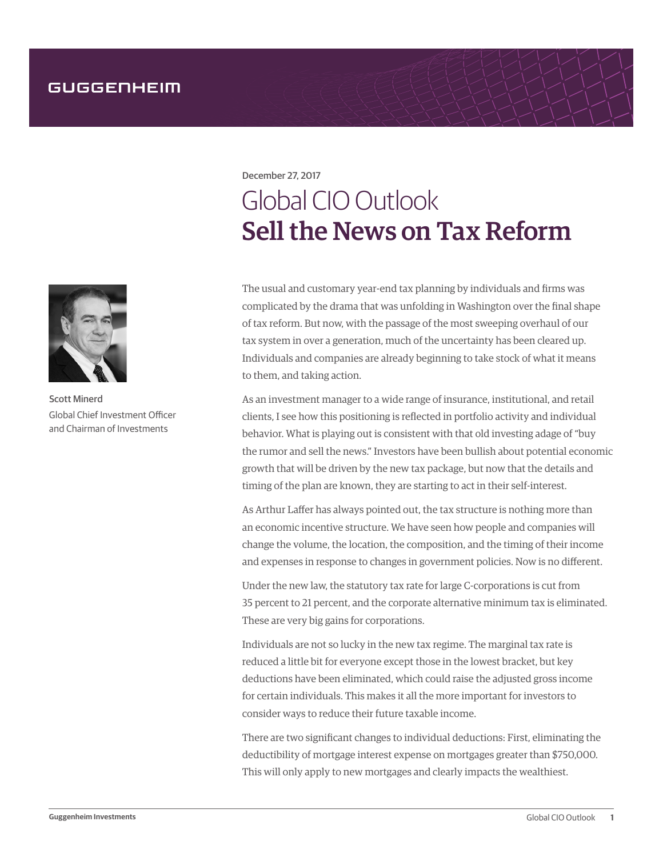December 27, 2017

## Global CIO Outlook Sell the News on Tax Reform

The usual and customary year-end tax planning by individuals and firms was complicated by the drama that was unfolding in Washington over the final shape of tax reform. But now, with the passage of the most sweeping overhaul of our tax system in over a generation, much of the uncertainty has been cleared up. Individuals and companies are already beginning to take stock of what it means to them, and taking action.

As an investment manager to a wide range of insurance, institutional, and retail clients, I see how this positioning is reflected in portfolio activity and individual behavior. What is playing out is consistent with that old investing adage of "buy the rumor and sell the news." Investors have been bullish about potential economic growth that will be driven by the new tax package, but now that the details and timing of the plan are known, they are starting to act in their self-interest.

As Arthur Laffer has always pointed out, the tax structure is nothing more than an economic incentive structure. We have seen how people and companies will change the volume, the location, the composition, and the timing of their income and expenses in response to changes in government policies. Now is no different.

Under the new law, the statutory tax rate for large C-corporations is cut from 35 percent to 21 percent, and the corporate alternative minimum tax is eliminated. These are very big gains for corporations.

Individuals are not so lucky in the new tax regime. The marginal tax rate is reduced a little bit for everyone except those in the lowest bracket, but key deductions have been eliminated, which could raise the adjusted gross income for certain individuals. This makes it all the more important for investors to consider ways to reduce their future taxable income.

There are two significant changes to individual deductions: First, eliminating the deductibility of mortgage interest expense on mortgages greater than \$750,000. This will only apply to new mortgages and clearly impacts the wealthiest.



Scott Minerd Global Chief Investment Officer and Chairman of Investments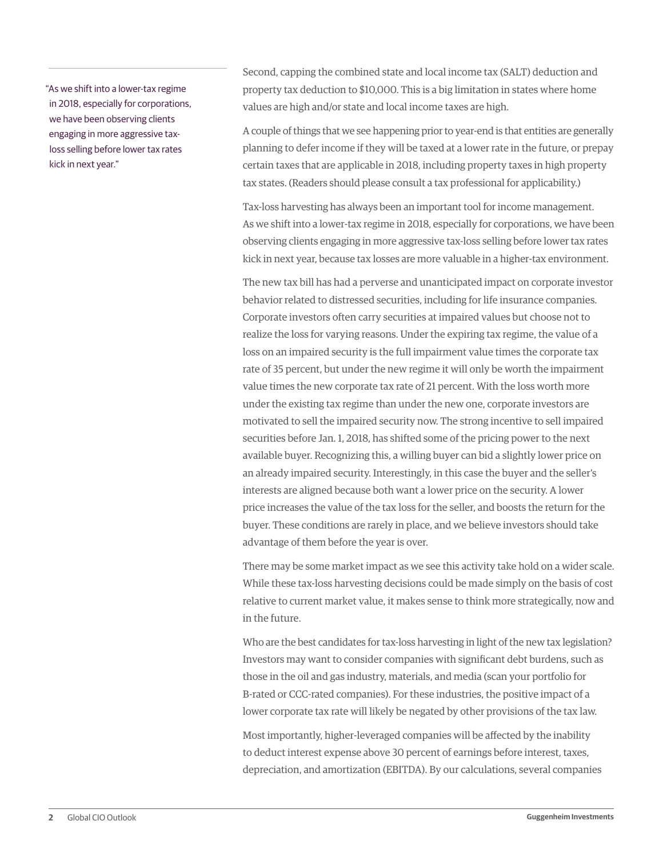"As we shift into a lower-tax regime in 2018, especially for corporations, we have been observing clients engaging in more aggressive taxloss selling before lower tax rates kick in next year."

Second, capping the combined state and local income tax (SALT) deduction and property tax deduction to \$10,000. This is a big limitation in states where home values are high and/or state and local income taxes are high.

A couple of things that we see happening prior to year-end is that entities are generally planning to defer income if they will be taxed at a lower rate in the future, or prepay certain taxes that are applicable in 2018, including property taxes in high property tax states. (Readers should please consult a tax professional for applicability.)

Tax-loss harvesting has always been an important tool for income management. As we shift into a lower-tax regime in 2018, especially for corporations, we have been observing clients engaging in more aggressive tax-loss selling before lower tax rates kick in next year, because tax losses are more valuable in a higher-tax environment.

The new tax bill has had a perverse and unanticipated impact on corporate investor behavior related to distressed securities, including for life insurance companies. Corporate investors often carry securities at impaired values but choose not to realize the loss for varying reasons. Under the expiring tax regime, the value of a loss on an impaired security is the full impairment value times the corporate tax rate of 35 percent, but under the new regime it will only be worth the impairment value times the new corporate tax rate of 21 percent. With the loss worth more under the existing tax regime than under the new one, corporate investors are motivated to sell the impaired security now. The strong incentive to sell impaired securities before Jan. 1, 2018, has shifted some of the pricing power to the next available buyer. Recognizing this, a willing buyer can bid a slightly lower price on an already impaired security. Interestingly, in this case the buyer and the seller's interests are aligned because both want a lower price on the security. A lower price increases the value of the tax loss for the seller, and boosts the return for the buyer. These conditions are rarely in place, and we believe investors should take advantage of them before the year is over.

There may be some market impact as we see this activity take hold on a wider scale. While these tax-loss harvesting decisions could be made simply on the basis of cost relative to current market value, it makes sense to think more strategically, now and in the future.

Who are the best candidates for tax-loss harvesting in light of the new tax legislation? Investors may want to consider companies with significant debt burdens, such as those in the oil and gas industry, materials, and media (scan your portfolio for B-rated or CCC-rated companies). For these industries, the positive impact of a lower corporate tax rate will likely be negated by other provisions of the tax law.

Most importantly, higher-leveraged companies will be affected by the inability to deduct interest expense above 30 percent of earnings before interest, taxes, depreciation, and amortization (EBITDA). By our calculations, several companies